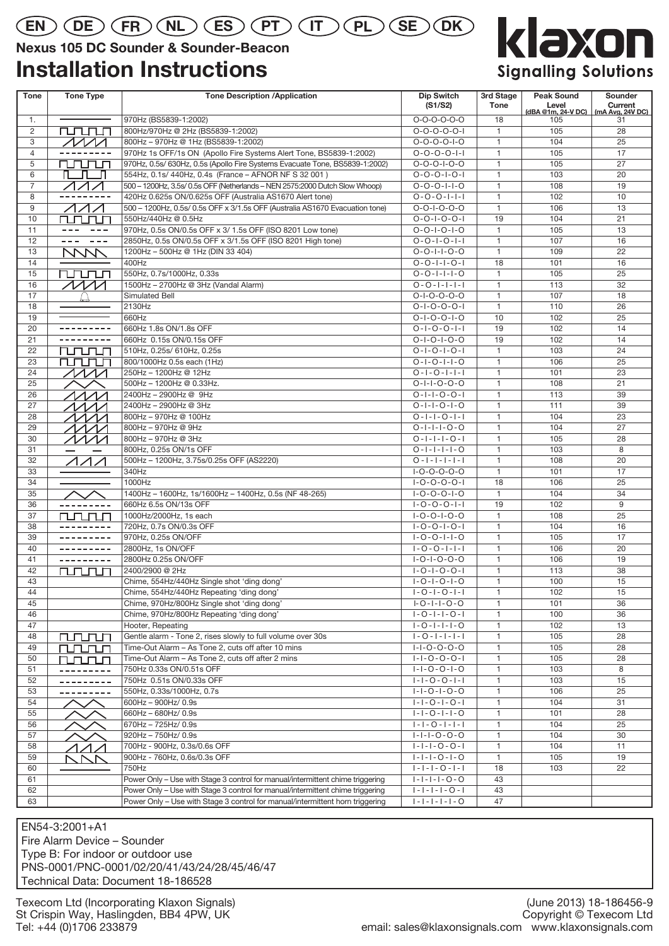# $\mathsf{E}(\mathsf{EN})\left(\mathsf{DE}\right)\left(\mathsf{FR}\right)\left(\mathsf{NL}\right)\left(\mathsf{ES}\right)\left(\mathsf{PT}\right)\left(\mathsf{IT}\right)\left(\mathsf{PL}\right)\left(\mathsf{SE}\right)\left(\mathsf{DK}\right)$

# **Nexus 105 DC Sounder & Sounder-Beacon**

# **Installation Instructions**



| Tone           | <b>Tone Type</b>                                                                                                                                                                                                                                                                                                                                                                                        | <b>Tone Description /Application</b>                                           | Dip Switch<br>(S1/S2)                              | 3rd Stage<br><b>Tone</b> | <b>Peak Sound</b><br>Level | Sounder<br>Current     |
|----------------|---------------------------------------------------------------------------------------------------------------------------------------------------------------------------------------------------------------------------------------------------------------------------------------------------------------------------------------------------------------------------------------------------------|--------------------------------------------------------------------------------|----------------------------------------------------|--------------------------|----------------------------|------------------------|
| 1.             |                                                                                                                                                                                                                                                                                                                                                                                                         | 970Hz (BS5839-1:2002)                                                          | $O-O-O-O-O-O$                                      | 18                       | (dBA @1m, 24-V DC)<br>105  | (mA Avg, 24V DC)<br>31 |
| 2              | <b>NUNUN</b>                                                                                                                                                                                                                                                                                                                                                                                            | 800Hz/970Hz @ 2Hz (BS5839-1:2002)                                              | $0 - 0 - 0 - 0 - 1$                                | $\mathbf{1}$             | 105                        | 28                     |
| 3              | $\sqrt{M}$                                                                                                                                                                                                                                                                                                                                                                                              | 800Hz - 970Hz @ 1Hz (BS5839-1:2002)                                            | $0 - 0 - 0 - 0 - 1 - 0$                            | $\mathbf{1}$             | 104                        | 25                     |
| $\overline{4}$ |                                                                                                                                                                                                                                                                                                                                                                                                         | 970Hz 1s OFF/1s ON (Apollo Fire Systems Alert Tone, BS5839-1:2002)             | $0 - 0 - 0 - 0 - 1 - 1$                            | $\mathbf{1}$             | 105                        | 17                     |
| 5              | rurun                                                                                                                                                                                                                                                                                                                                                                                                   | 970Hz, 0.5s/ 630Hz, 0.5s (Apollo Fire Systems Evacuate Tone, BS5839-1:2002)    | $0 - 0 - 0 - 1 - 0 - 0$                            | $\mathbf{1}$             | 105                        | 27                     |
| 6              | n n n                                                                                                                                                                                                                                                                                                                                                                                                   | 554Hz, 0.1s/ 440Hz, 0.4s (France - AFNOR NF S 32 001)                          | $0 - 0 - 0 - 1 - 0 - 1$                            | $\mathbf{1}$             | 103                        | 20                     |
| $\overline{7}$ |                                                                                                                                                                                                                                                                                                                                                                                                         | 500 - 1200Hz, 3.5s/ 0.5s OFF (Netherlands - NEN 2575:2000 Dutch Slow Whoop)    | $0 - 0 - 0 - 1 - 1 - 0$                            | $\mathbf{1}$             | 108                        | 19                     |
| 8              |                                                                                                                                                                                                                                                                                                                                                                                                         | 420Hz 0.625s ON/0.625s OFF (Australia AS1670 Alert tone)                       | $0 - 0 - 0 - 1 - 1 - 1$                            | $\mathbf{1}$             | 102                        | 10                     |
| 9              | イイイ                                                                                                                                                                                                                                                                                                                                                                                                     | 500 - 1200Hz, 0.5s/ 0.5s OFF x 3/1.5s OFF (Australia AS1670 Evacuation tone)   | $0 - 0 - 1 - 0 - 0 - 0$                            | $\mathbf{1}$             | 106                        | 13                     |
| 10             | rurun                                                                                                                                                                                                                                                                                                                                                                                                   | 550Hz/440Hz @ 0.5Hz                                                            | $0 - 0 - 1 - 0 - 0 - 1$                            | 19                       | 104                        | 21                     |
| 11             |                                                                                                                                                                                                                                                                                                                                                                                                         | 970Hz, 0.5s ON/0.5s OFF x 3/ 1.5s OFF (ISO 8201 Low tone)                      | $0 - 0 - 1 - 0 - 1 - 0$                            | $\mathbf{1}$             | 105                        | 13                     |
| 12             | $\frac{1}{2} \frac{1}{2} \frac{1}{2} \frac{1}{2} \frac{1}{2} \frac{1}{2} \frac{1}{2} \frac{1}{2} \frac{1}{2} \frac{1}{2} \frac{1}{2} \frac{1}{2} \frac{1}{2} \frac{1}{2} \frac{1}{2} \frac{1}{2} \frac{1}{2} \frac{1}{2} \frac{1}{2} \frac{1}{2} \frac{1}{2} \frac{1}{2} \frac{1}{2} \frac{1}{2} \frac{1}{2} \frac{1}{2} \frac{1}{2} \frac{1}{2} \frac{1}{2} \frac{1}{2} \frac{1}{2} \frac{$<br>$- - -$ | 2850Hz, 0.5s ON/0.5s OFF x 3/1.5s OFF (ISO 8201 High tone)                     | $0 - 0 - 1 - 0 - 1 - 1$                            | $\mathbf{1}$             | 107                        | 16                     |
| 13             | <b>MW</b>                                                                                                                                                                                                                                                                                                                                                                                               | 1200Hz - 500Hz @ 1Hz (DIN 33 404)                                              | $0 - 0 - 1 - 1 - 0 - 0$                            | $\mathbf{1}$             | 109                        | 22                     |
| 14             |                                                                                                                                                                                                                                                                                                                                                                                                         | 400Hz                                                                          | $0 - 0 - 1 - 1 - 0 - 1$                            | 18                       | 101                        | 16                     |
| 15             | rurun                                                                                                                                                                                                                                                                                                                                                                                                   | 550Hz, 0.7s/1000Hz, 0.33s                                                      | $0 - 0 - 1 - 1 - 1 - 0$                            | $\mathbf{1}$             | 105                        | 25                     |
| 16             | $\sqrt{M}$                                                                                                                                                                                                                                                                                                                                                                                              | 1500Hz - 2700Hz @ 3Hz (Vandal Alarm)                                           | $0 - 0 - 1 - 1 - 1 - 1$                            | $\mathbf{1}$             | 113                        | 32                     |
| 17             |                                                                                                                                                                                                                                                                                                                                                                                                         | Simulated Bell                                                                 | $0 - 1 - 0 - 0 - 0 - 0$                            | $\mathbf{1}$             | 107                        | 18                     |
| 18             |                                                                                                                                                                                                                                                                                                                                                                                                         | 2130Hz                                                                         | $0 - 1 - 0 - 0 - 0 - 1$                            | $\mathbf{1}$             | 110                        | 26                     |
| 19             |                                                                                                                                                                                                                                                                                                                                                                                                         | 660Hz                                                                          | $0 - 1 - 0 - 0 - 1 - 0$                            | 10                       | 102                        | 25                     |
| 20             | ---------                                                                                                                                                                                                                                                                                                                                                                                               | 660Hz 1.8s ON/1.8s OFF                                                         | $0 - 1 - 0 - 0 - 1 - 1$                            | 19                       | 102                        | 14                     |
| 21             |                                                                                                                                                                                                                                                                                                                                                                                                         | 660Hz 0.15s ON/0.15s OFF                                                       | $0 - 1 - 0 - 1 - 0 - 0$                            | 19                       | 102                        | 14                     |
| 22             | <b>runun</b>                                                                                                                                                                                                                                                                                                                                                                                            | 510Hz, 0.25s/ 610Hz, 0.25s                                                     | $0 - 1 - 0 - 1 - 0 - 1$                            | $\mathbf{1}$             | 103                        | 24                     |
| 23             | rurun                                                                                                                                                                                                                                                                                                                                                                                                   | 800/1000Hz 0.5s each (1Hz)                                                     | $0 - 1 - 0 - 1 - 1 - 0$                            | $\mathbf{1}$             | 106                        | 25                     |
| 24             | $\sqrt{M}$                                                                                                                                                                                                                                                                                                                                                                                              | 250Hz - 1200Hz @ 12Hz                                                          | $0 - 1 - 0 - 1 - 1 - 1$                            | $\mathbf{1}$             | 101                        | 23                     |
| 25             |                                                                                                                                                                                                                                                                                                                                                                                                         | 500Hz - 1200Hz @ 0.33Hz.                                                       | $0 - 1 - 1 - 0 - 0 - 0$                            | $\mathbf{1}$             | 108                        | 21                     |
| 26             | ヘヘヘ/                                                                                                                                                                                                                                                                                                                                                                                                    | 2400Hz - 2900Hz @ 9Hz                                                          | $0 - 1 - 1 - 0 - 0 - 1$                            | $\mathbf{1}$             | 113                        | 39                     |
| 27             | ヘヘヘノ                                                                                                                                                                                                                                                                                                                                                                                                    | 2400Hz - 2900Hz @ 3Hz                                                          | $0 - 1 - 1 - 0 - 1 - 0$                            | $\mathbf{1}$             | 111                        | 39                     |
| 28             | ヘヘヘ/                                                                                                                                                                                                                                                                                                                                                                                                    | 800Hz - 970Hz @ 100Hz                                                          | $0 - 1 - 1 - 0 - 1 - 1$                            | $\mathbf{1}$             | 104                        | 23                     |
| 29             | ハハハノ                                                                                                                                                                                                                                                                                                                                                                                                    | 800Hz - 970Hz @ 9Hz                                                            | $0 - 1 - 1 - 1 - 0 - 0$                            | $\mathbf{1}$             | 104                        | 27                     |
| 30             | $\cal{M} \cal{N}$                                                                                                                                                                                                                                                                                                                                                                                       | 800Hz - 970Hz @ 3Hz                                                            | $0 - 1 - 1 - 1 - 0 - 1$                            | $\mathbf{1}$             | 105                        | 28                     |
| 31             |                                                                                                                                                                                                                                                                                                                                                                                                         | 800Hz, 0.25s ON/1s OFF                                                         | $0 - 1 - 1 - 1 - 0$                                | $\mathbf{1}$             | 103<br>108                 | 8<br>20                |
| 32             | $\Lambda\Lambda\Lambda$                                                                                                                                                                                                                                                                                                                                                                                 | 500Hz - 1200Hz, 3.75s/0.25s OFF (AS2220)                                       | $0 - 1 - 1 - 1 - 1 - 1$                            | $\mathbf{1}$             |                            |                        |
| 33             |                                                                                                                                                                                                                                                                                                                                                                                                         | 340Hz<br>1000Hz                                                                | $I-O-O-O-O-O$                                      | $\mathbf{1}$             | 101                        | 17                     |
| 34<br>35       |                                                                                                                                                                                                                                                                                                                                                                                                         |                                                                                | $1 - 0 - 0 - 0 - 0 - 1$<br>$I - O - O - O - I - O$ | 18<br>$\mathbf{1}$       | 106<br>104                 | 25<br>34               |
| 36             | ------                                                                                                                                                                                                                                                                                                                                                                                                  | 1400Hz - 1600Hz, 1s/1600Hz - 1400Hz, 0.5s (NF 48-265)<br>660Hz 6.5s ON/13s OFF | $1 - 0 - 0 - 0 - 1 - 1$                            | 19                       | 102                        | 9                      |
| 37             | rurun                                                                                                                                                                                                                                                                                                                                                                                                   | 1000Hz/2000Hz, 1s each                                                         | $I - O - O - I - O - O$                            | $\mathbf{1}$             | 108                        | 25                     |
| 38             |                                                                                                                                                                                                                                                                                                                                                                                                         | 720Hz, 0.7s ON/0.3s OFF                                                        | $1 - 0 - 0 - 1 - 0 - 1$                            | $\mathbf{1}$             | 104                        | 16                     |
| 39             | .                                                                                                                                                                                                                                                                                                                                                                                                       | 970Hz, 0.25s ON/OFF                                                            | $1 - 0 - 0 - 1 - 1 - 0$                            | $\mathbf{1}$             | 105                        | 17                     |
| 40             | ---------                                                                                                                                                                                                                                                                                                                                                                                               | 2800Hz, 1s ON/OFF                                                              | $1 - 0 - 0 - 1 - 1 - 1$                            | $\mathbf{1}$             | 106                        | 20                     |
| 41             | ---------                                                                                                                                                                                                                                                                                                                                                                                               | 2800Hz 0.25s ON/OFF                                                            | $I - O - I - O - O - O$                            | $\mathbf{1}$             | 106                        | 19                     |
| 42             | <u>nn nn</u>                                                                                                                                                                                                                                                                                                                                                                                            | 2400/2900 @ 2Hz                                                                | $1 - 0 - 1 - 0 - 0 - 1$                            | $\mathbf{1}$             | 113                        | 38                     |
| 43             |                                                                                                                                                                                                                                                                                                                                                                                                         | Chime, 554Hz/440Hz Single shot 'ding dong'                                     | $1 - 0 - 1 - 0 - 1 - 0$                            | $\mathbf{1}$             | 100                        | $\overline{15}$        |
| 44             |                                                                                                                                                                                                                                                                                                                                                                                                         | Chime, 554Hz/440Hz Repeating 'ding dong'                                       | $1 - 0 - 1 - 0 - 1 - 1$                            | $\mathbf{1}$             | 102                        | 15                     |
| 45             |                                                                                                                                                                                                                                                                                                                                                                                                         | Chime, 970Hz/800Hz Single shot 'ding dong'                                     | $I - O - I - I - O - O$                            | $\mathbf{1}$             | 101                        | 36                     |
| 46             |                                                                                                                                                                                                                                                                                                                                                                                                         | Chime, 970Hz/800Hz Repeating 'ding dong'                                       | $1 - 0 - 1 - 1 - 0 - 1$                            | $\mathbf{1}$             | 100                        | 36                     |
| 47             |                                                                                                                                                                                                                                                                                                                                                                                                         | Hooter, Repeating                                                              | $1 - 0 - 1 - 1 - 1 - 0$                            | $\mathbf{1}$             | 102                        | 13                     |
| 48             | <u>rurun </u>                                                                                                                                                                                                                                                                                                                                                                                           | Gentle alarm - Tone 2, rises slowly to full volume over 30s                    | $1 - 0 - 1 - 1 - 1 - 1$                            | $\mathbf{1}$             | 105                        | 28                     |
| 49             | rurun                                                                                                                                                                                                                                                                                                                                                                                                   | Time-Out Alarm - As Tone 2, cuts off after 10 mins                             | $1 - 1 - 0 - 0 - 0 - 0$                            | $\mathbf{1}$             | 105                        | 28                     |
| 50             | runun                                                                                                                                                                                                                                                                                                                                                                                                   | Time-Out Alarm - As Tone 2, cuts off after 2 mins                              | $1 - 1 - 0 - 0 - 0 - 1$                            | $\mathbf{1}$             | 105                        | 28                     |
| 51             |                                                                                                                                                                                                                                                                                                                                                                                                         | 750Hz 0.33s ON/0.51s OFF                                                       | $1 - 1 - 0 - 0 - 1 - 0$                            | $\mathbf{1}$             | 103                        | 8                      |
| 52             | $\frac{1}{2} \frac{1}{2} \frac{1}{2} \frac{1}{2} \frac{1}{2} \frac{1}{2} \frac{1}{2} \frac{1}{2} \frac{1}{2} \frac{1}{2} \frac{1}{2} \frac{1}{2} \frac{1}{2} \frac{1}{2} \frac{1}{2} \frac{1}{2} \frac{1}{2} \frac{1}{2} \frac{1}{2} \frac{1}{2} \frac{1}{2} \frac{1}{2} \frac{1}{2} \frac{1}{2} \frac{1}{2} \frac{1}{2} \frac{1}{2} \frac{1}{2} \frac{1}{2} \frac{1}{2} \frac{1}{2} \frac{$            | 750Hz 0.51s ON/0.33s OFF                                                       | $1 - 1 - 0 - 0 - 1 - 1$                            | $\mathbf{1}$             | 103                        | 15                     |
| 53             | ---------                                                                                                                                                                                                                                                                                                                                                                                               | 550Hz, 0.33s/1000Hz, 0.7s                                                      | $1 - 1 - 0 - 1 - 0 - 0$                            | $\mathbf{1}$             | 106                        | 25                     |
| 54             |                                                                                                                                                                                                                                                                                                                                                                                                         | 600Hz - 900Hz/ 0.9s                                                            | $1 - 1 - 0 - 1 - 0 - 1$                            | $\mathbf{1}$             | 104                        | 31                     |
| 55             |                                                                                                                                                                                                                                                                                                                                                                                                         | 660Hz-680Hz/0.9s                                                               | $1 - 1 - 0 - 1 - 1 - 0$                            | $\mathbf{1}$             | 101                        | 28                     |
| 56             |                                                                                                                                                                                                                                                                                                                                                                                                         | 670Hz - 725Hz/ 0.9s                                                            | $ - -0- - - $                                      | $\mathbf{1}$             | 104                        | 25                     |
| 57             |                                                                                                                                                                                                                                                                                                                                                                                                         | 920Hz - 750Hz/ 0.9s                                                            | $ - - -0-0-0$                                      | $\mathbf{1}$             | 104                        | 30                     |
| 58             | $\sqrt{ }$                                                                                                                                                                                                                                                                                                                                                                                              | 700Hz - 900Hz, 0.3s/0.6s OFF                                                   | $ - - -0-0- $                                      | $\mathbf{1}$             | 104                        | 11                     |
| 59             | NNM                                                                                                                                                                                                                                                                                                                                                                                                     | 900Hz - 760Hz, 0.6s/0.3s OFF                                                   | $1 - 1 - 1 - 0 - 1 - 0$                            | $\mathbf{1}$             | 105                        | 19                     |
| 60             |                                                                                                                                                                                                                                                                                                                                                                                                         | 750Hz                                                                          | $ - - - $ - $ $ - $ - $                            | 18                       | 103                        | 22                     |
| 61             |                                                                                                                                                                                                                                                                                                                                                                                                         | Power Only - Use with Stage 3 control for manual/intermittent chime triggering | $ - - - -0-0$                                      | 43                       |                            |                        |
| 62             |                                                                                                                                                                                                                                                                                                                                                                                                         | Power Only - Use with Stage 3 control for manual/intermittent chime triggering | $ - - - - $ - $ $ - $ $                            | 43                       |                            |                        |
| 63             |                                                                                                                                                                                                                                                                                                                                                                                                         | Power Only - Use with Stage 3 control for manual/intermittent horn triggering  | $ - - - - - $                                      | 47                       |                            |                        |

EN54-3:2001+A1

Fire Alarm Device – Sounder Type B: For indoor or outdoor use PNS-0001/PNC-0001/02/20/41/43/24/28/45/46/47 Technical Data: Document 18-186528

Texecom Ltd (Incorporating Klaxon Signals) St Crispin Way, Haslingden, BB4 4PW, UK Tel: +44 (0)1706 233879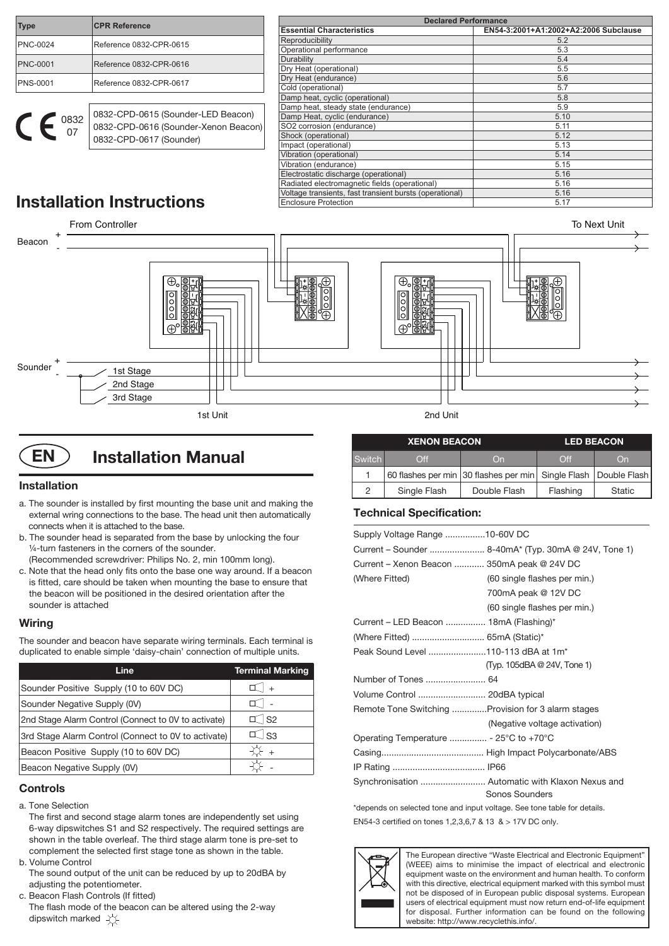| <b>Type</b>     | <b>CPR Reference</b>               |  |  |
|-----------------|------------------------------------|--|--|
| PNC-0024        | Reference 0832-CPR-0615            |  |  |
| <b>PNC-0001</b> | Reference 0832-CPR-0616            |  |  |
| PNS-0001        | Reference 0832-CPR-0617            |  |  |
|                 |                                    |  |  |
| 0832            | 0832-CPD-0615 (Sounder-LED Beacon) |  |  |

0832-CPD-0617 (Sounder)

0832-CPD-0616 (Sounder-Xenon Beacon)

| <b>Declared Performance</b>                             |                                       |  |  |  |
|---------------------------------------------------------|---------------------------------------|--|--|--|
| <b>Essential Characteristics</b>                        | EN54-3:2001+A1:2002+A2:2006 Subclause |  |  |  |
| Reproducibility                                         | 5.2                                   |  |  |  |
| Operational performance                                 | 5.3                                   |  |  |  |
| Durability                                              | 5.4                                   |  |  |  |
| Dry Heat (operational)                                  | 5.5                                   |  |  |  |
| Dry Heat (endurance)                                    | 5.6                                   |  |  |  |
| Cold (operational)                                      | 5.7                                   |  |  |  |
| Damp heat, cyclic (operational)                         | 5.8                                   |  |  |  |
| Damp heat, steady state (endurance)                     | 5.9                                   |  |  |  |
| Damp Heat, cyclic (endurance)                           | 5.10                                  |  |  |  |
| SO2 corrosion (endurance)                               | 5.11                                  |  |  |  |
| Shock (operational)                                     | 5.12                                  |  |  |  |
| Impact (operational)                                    | 5.13                                  |  |  |  |
| Vibration (operational)                                 | 5.14                                  |  |  |  |
| Vibration (endurance)                                   | 5.15                                  |  |  |  |
| Electrostatic discharge (operational)                   | 5.16                                  |  |  |  |
| Radiated electromagnetic fields (operational)           | 5.16                                  |  |  |  |
| Voltage transients, fast transient bursts (operational) | 5.16                                  |  |  |  |
| <b>Enclosure Protection</b>                             | 5.17                                  |  |  |  |

# **Installation Instructions**

07

e



# **EN** ) Installation Manual

# **Installation**

- a. The sounder is installed by first mounting the base unit and making the external wring connections to the base. The head unit then automatically connects when it is attached to the base.
- b. The sounder head is separated from the base by unlocking the four ¼-turn fasteners in the corners of the sounder. (Recommended screwdriver: Philips No. 2, min 100mm long).
- c. Note that the head only fits onto the base one way around. If a beacon is fitted, care should be taken when mounting the base to ensure that the beacon will be positioned in the desired orientation after the sounder is attached

# **Wiring**

The sounder and beacon have separate wiring terminals. Each terminal is duplicated to enable simple 'daisy-chain' connection of multiple units.

| Line                                                | <b>Terminal Marking</b> |
|-----------------------------------------------------|-------------------------|
| Sounder Positive Supply (10 to 60V DC)              | I +                     |
| Sounder Negative Supply (0V)                        |                         |
| 2nd Stage Alarm Control (Connect to 0V to activate) | $\mathbb{I}$ S2         |
| 3rd Stage Alarm Control (Connect to 0V to activate) | $\perp$ S3              |
| Beacon Positive Supply (10 to 60V DC)               | $\ddot{+}$              |
| Beacon Negative Supply (0V)                         |                         |

# **Controls**

- a. Tone Selection
	- The first and second stage alarm tones are independently set using 6-way dipswitches S1 and S2 respectively. The required settings are shown in the table overleaf. The third stage alarm tone is pre-set to complement the selected first stage tone as shown in the table.
- b. Volume Control

 The sound output of the unit can be reduced by up to 20dBA by adjusting the potentiometer.

c. Beacon Flash Controls (If fitted)

 The flash mode of the beacon can be altered using the 2-way dipswitch marked  $\sqrt{\phantom{a}}$ 

|               | <b>XENON BEACON</b>               | <b>LED BEACON</b>                                               |                     |               |
|---------------|-----------------------------------|-----------------------------------------------------------------|---------------------|---------------|
| <b>Switch</b> | $\bigcap\limits_{}^{\mathsf{ff}}$ | On                                                              | $\bigcap_{i=1}^{n}$ | On            |
|               |                                   | 60 flashes per min 30 flashes per min Single Flash Double Flash |                     |               |
| っ             | Single Flash                      | Double Flash                                                    | Flashing            | <b>Static</b> |

# **Technical Specification:**

| Supply Voltage Range 10-60V DC                             |                                                      |
|------------------------------------------------------------|------------------------------------------------------|
|                                                            | Current – Sounder  8-40mA* (Typ. 30mA @ 24V, Tone 1) |
| Current - Xenon Beacon  350mA peak @ 24V DC                |                                                      |
| (Where Fitted)                                             | (60 single flashes per min.)                         |
|                                                            | 700mA peak @ 12V DC                                  |
|                                                            | (60 single flashes per min.)                         |
| Current – LED Beacon  18mA (Flashing)*                     |                                                      |
|                                                            |                                                      |
| Peak Sound Level 110-113 dBA at 1m <sup>*</sup>            |                                                      |
|                                                            | (Typ. 105dBA @ 24V, Tone 1)                          |
|                                                            |                                                      |
| Volume Control  20dBA typical                              |                                                      |
|                                                            | Remote Tone Switching Provision for 3 alarm stages   |
|                                                            | (Negative voltage activation)                        |
| Operating Temperature  - 25 $\degree$ C to +70 $\degree$ C |                                                      |
|                                                            |                                                      |
|                                                            |                                                      |
|                                                            | Synchronisation  Automatic with Klaxon Nexus and     |
|                                                            | Sonos Sounders                                       |

\*depends on selected tone and input voltage. See tone table for details. EN54-3 certified on tones 1,2,3,6,7 & 13 & > 17V DC only.



The European directive "Waste Electrical and Electronic Equipment" (WEEE) aims to minimise the impact of electrical and electronic equipment waste on the environment and human health. To conform with this directive, electrical equipment marked with this symbol must not be disposed of in European public disposal systems. European users of electrical equipment must now return end-of-life equipment for disposal. Further information can be found on the following website: http://www.recyclethis.info/.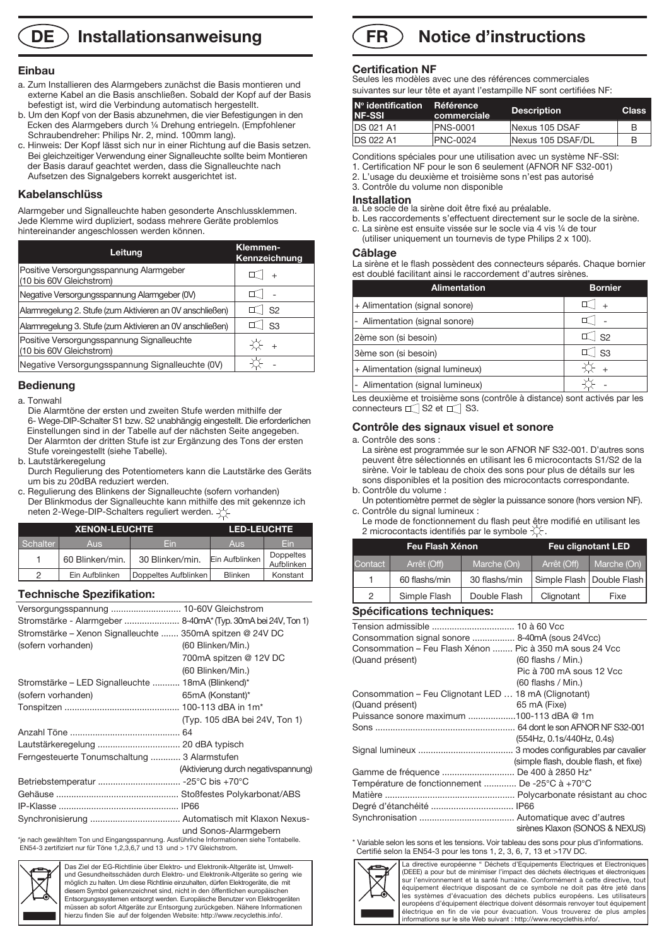# **DE** ) Installationsanweisung

#### **Einbau**

- a. Zum Installieren des Alarmgebers zunächst die Basis montieren und externe Kabel an die Basis anschließen. Sobald der Kopf auf der Basis befestigt ist, wird die Verbindung automatisch hergestellt.
- b. Um den Kopf von der Basis abzunehmen, die vier Befestigungen in den Ecken des Alarmgebers durch ¼ Drehung entriegeln. (Empfohlener Schraubendreher: Philips Nr. 2, mind. 100mm lang).
- c. Hinweis: Der Kopf lässt sich nur in einer Richtung auf die Basis setzen. Bei gleichzeitiger Verwendung einer Signalleuchte sollte beim Montieren der Basis darauf geachtet werden, dass die Signalleuchte nach Aufsetzen des Signalgebers korrekt ausgerichtet ist.

### **Kabelanschlüss**

Alarmgeber und Signalleuchte haben gesonderte Anschlussklemmen. Jede Klemme wird dupliziert, sodass mehrere Geräte problemlos hintereinander angeschlossen werden können.

| Leitung                                                                | Klemmen-<br>Kennzeichnung |
|------------------------------------------------------------------------|---------------------------|
| Positive Versorgungsspannung Alarmgeber<br>(10 bis 60V Gleichstrom)    |                           |
| Negative Versorgungsspannung Alarmgeber (0V)                           |                           |
| Alarmregelung 2. Stufe (zum Aktivieren an OV anschließen)              | S <sub>2</sub>            |
| Alarmregelung 3. Stufe (zum Aktivieren an OV anschließen)              | S3                        |
| Positive Versorgungsspannung Signalleuchte<br>(10 bis 60V Gleichstrom) | $+$                       |
| Negative Versorgungsspannung Signalleuchte (0V)                        |                           |

# **Bedienung**

#### a. Tonwahl

 Die Alarmtöne der ersten und zweiten Stufe werden mithilfe der 6- Wege-DIP-Schalter S1 bzw. S2 unabhängig eingestellt. Die erforderlichen Einstellungen sind in der Tabelle auf der nächsten Seite angegeben. Der Alarmton der dritten Stufe ist zur Ergänzung des Tons der ersten Stufe voreingestellt (siehe Tabelle).

- b. Lautstärkeregelung
- Durch Regulierung des Potentiometers kann die Lautstärke des Geräts um bis zu 20dBA reduziert werden.
- c. Regulierung des Blinkens der Signalleuchte (sofern vorhanden) Der Blinkmodus der Signalleuchte kann mithilfe des mit gekennze ich neten 2-Wege-DIP-Schalters reguliert werden.  $\pm$

|          | <b>XENON-LEUCHTE</b> | <b>LED-LEUCHTE</b>   |                |                         |
|----------|----------------------|----------------------|----------------|-------------------------|
| Schalter | <b>Aus</b>           | Fin                  | <b>Aus</b>     | Fin                     |
|          | 60 Blinken/min.      | 30 Blinken/min.      | Ein Aufblinken | Doppeltes<br>Aufblinken |
| っ        | Ein Aufblinken       | Doppeltes Aufblinken | <b>Blinken</b> | Konstant                |

# **Technische Spezifikation:**

| Versorgungsspannung  10-60V Gleichstrom                                                   |                                     |
|-------------------------------------------------------------------------------------------|-------------------------------------|
| Stromstärke - Alarmgeber  8-40mA* (Typ. 30mA bei 24V, Ton 1)                              |                                     |
| Stromstärke – Xenon Signalleuchte  350mA spitzen @ 24V DC                                 |                                     |
| (sofern vorhanden)                                                                        | (60 Blinken/Min.)                   |
|                                                                                           | 700mA spitzen @ 12V DC              |
|                                                                                           | (60 Blinken/Min.)                   |
| Stromstärke – LED Signalleuchte  18mA (Blinkend)*                                         |                                     |
| (sofern vorhanden)                                                                        | 65mA (Konstant)*                    |
|                                                                                           |                                     |
|                                                                                           | (Typ. 105 dBA bei 24V, Ton 1)       |
|                                                                                           |                                     |
|                                                                                           |                                     |
| Ferngesteuerte Tonumschaltung  3 Alarmstufen                                              |                                     |
|                                                                                           | (Aktivierung durch negativspannung) |
|                                                                                           |                                     |
|                                                                                           |                                     |
|                                                                                           |                                     |
|                                                                                           |                                     |
| *je nach gewähltem Ton und Eingangsspannung. Ausführliche Informationen siehe Tontabelle. | und Sonos-Alarmgebern               |

\*je nach gewähltem Ton und Eingangsspannung. Ausführliche Informationen siehe Tontabelle. EN54-3 zertifiziert nur für Töne 1,2,3,6,7 und 13 und > 17V Gleichstrom.



Das Ziel der EG-Richtlinie über Elektro- und Elektronik-Altgeräte ist, Umweltund Gesundheitsschäden durch Elektro- und Elektronik-Altgeräte so gering wie möglich zu halten. Um diese Richtlinie einzuhalten, dürfen Elektrogeräte, die mit diesem Symbol gekennzeichnet sind, nicht in den öffentlichen europäischen Entsorgungssystemen entsorgt werden. Europäische Benutzer von Elektrogeräten müssen ab sofort Altgeräte zur Entsorgung zurückgeben. Nähere Informationen hierzu finden Sie auf der folgenden Website: http://www.recyclethis.info/.

# **Notice d'instructions FR**

# **Certification NF**

Seules les modèles avec une des références commerciales suivantes sur leur tête et ayant l'estampille NF sont certifiées NF:

| $\sf N^o$ identification<br><b>NF-SSI</b> | Référence<br>commerciale | <b>Description</b> | <b>Class</b> |
|-------------------------------------------|--------------------------|--------------------|--------------|
| <b>IDS 021 A1</b>                         | <b>PNS-0001</b>          | Nexus 105 DSAF     | B            |
| <b>IDS 022 A1</b>                         | <b>PNC-0024</b>          | Nexus 105 DSAF/DL  | в            |
|                                           |                          |                    |              |

Conditions spéciales pour une utilisation avec un système NF-SSI:

1. Certification NF pour le son 6 seulement (AFNOR NF S32-001)

2. L'usage du deuxième et troisième sons n'est pas autorisé

3. Contrôle du volume non disponible

**Installation** a. Le socle de la sirène doit être fixé au préalable.

- b. Les raccordements s'effectuent directement sur le socle de la sirène.
- c. La sirène est ensuite vissée sur le socle via 4 vis ¼ de tour
- (utiliser uniquement un tournevis de type Philips 2 x 100).

### **Câblage**

La sirène et le flash possèdent des connecteurs séparés. Chaque bornier est doublé facilitant ainsi le raccordement d'autres sirènes.

| <b>Alimentation</b>                                                       | <b>Bornier</b>     |
|---------------------------------------------------------------------------|--------------------|
| + Alimentation (signal sonore)                                            |                    |
| - Alimentation (signal sonore)                                            |                    |
| 2ème son (si besoin)                                                      | $ $ S <sub>2</sub> |
| 3ème son (si besoin)                                                      |                    |
| + Alimentation (signal lumineux)                                          | $+$                |
| - Alimentation (signal lumineux)                                          |                    |
| Les deuxième et troisième sons (contrôle à distance) sont activés par les |                    |

Les deuxième et troisième sons (contrôle à distance) sont activés par les connecteurs  $\Box$  S2 et  $\Box$  S3.

# **Contrôle des signaux visuel et sonore**

a. Contrôle des sons :

 La sirène est programmée sur le son AFNOR NF S32-001. D'autres sons peuvent être sélectionnés en utilisant les 6 microcontacts S1/S2 de la sirène. Voir le tableau de choix des sons pour plus de détails sur les sons disponibles et la position des microcontacts correspondante. b. Contrôle du volume :

- Un potentiomètre permet de sègler la puissance sonore (hors version NF). c. Contrôle du signal lumineux :
- Le mode de fonctionnement du flash peut être modifié en utilisant les 2 microcontacts identifiés par le symbole  $\chi$ .

|         | Feu Flash Xénon | <b>Feu clignotant LED</b> |             |                             |  |  |
|---------|-----------------|---------------------------|-------------|-----------------------------|--|--|
| Contact | Arrêt (Off)     | Marche (On)               | Arrêt (Off) | Marche (On)                 |  |  |
| 1       | 60 flashs/min   | 30 flashs/min             |             | Simple Flash   Double Flash |  |  |
| 2       | Simple Flash    | Double Flash              | Clignotant  | Fixe                        |  |  |
|         |                 |                           |             |                             |  |  |

# **Spécifications techniques:**

| Consommation signal sonore  8-40mA (sous 24Vcc)          |                                       |
|----------------------------------------------------------|---------------------------------------|
| Consommation – Feu Flash Xénon  Pic à 350 mA sous 24 Vcc |                                       |
| (Quand présent)                                          | $(60$ flashs / Min.)                  |
|                                                          | Pic à 700 mA sous 12 Vcc              |
|                                                          | $(60$ flashs / Min.)                  |
| Consommation - Feu Clignotant LED  18 mA (Clignotant)    |                                       |
| (Quand présent)                                          | 65 mA (Fixe)                          |
| Puissance sonore maximum 100-113 dBA @ 1m                |                                       |
|                                                          |                                       |
|                                                          | (554Hz, 0.1s/440Hz, 0.4s)             |
|                                                          |                                       |
|                                                          | (simple flash, double flash, et fixe) |
| Gamme de fréquence  De 400 à 2850 Hz*                    |                                       |
| Température de fonctionnement  De -25°C à +70°C          |                                       |
|                                                          |                                       |
|                                                          |                                       |
|                                                          |                                       |
|                                                          | sirènes Klaxon (SONOS & NEXUS)        |

\* Variable selon les sons et les tensions. Voir tableau des sons pour plus d'informations. Certifié selon la EN54-3 pour les tons 1, 2, 3, 6, 7, 13 et >17V DC.



La directive européenne " Déchets d'Equipements Electriques et Electroniques (DEEE) a pour but de minimiser l'impact des déchets électriques et électronique sur l'environnement et la santé humaine. Conformément à cette directive, tout équipement électrique disposant de ce symbole ne doit pas être jeté dans les systèmes d'évacuation des déchets publics européens. Les utilisateurs européens d'équipement électrique doivent désormais renvoyer tout équipement électrique en fin de vie pour évacuation. Vous trouverez de plus amples informations sur le site Web suivant : http://www.recyclethis.info/.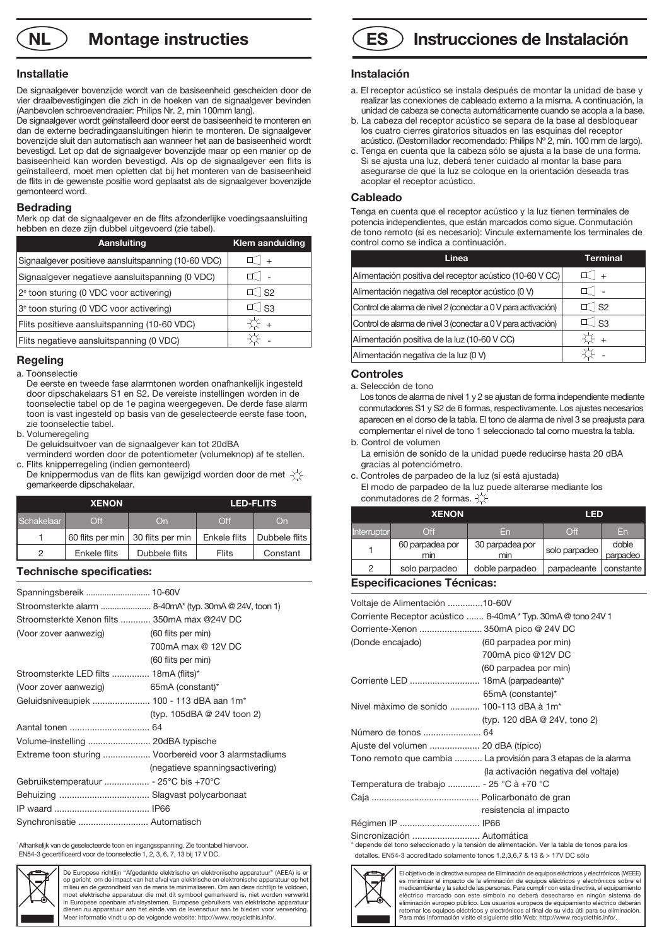**NL**  $\bigcirc$  **Montage instructies** 

#### **Installatie**

De signaalgever bovenzijde wordt van de basiseenheid gescheiden door de vier draaibevestigingen die zich in de hoeken van de signaalgever bevinden (Aanbevolen schroevendraaier: Philips Nr. 2, min 100mm lang).

De signaalgever wordt geïnstalleerd door eerst de basiseenheid te monteren en dan de externe bedradingaansluitingen hierin te monteren. De signaalgever bovenzijde sluit dan automatisch aan wanneer het aan de basiseenheid wordt bevestigd. Let op dat de signaalgever bovenzijde maar op een manier op de basiseenheid kan worden bevestigd. Als op de signaalgever een flits is geïnstalleerd, moet men opletten dat bij het monteren van de basiseenheid de flits in de gewenste positie word geplaatst als de signaalgever bovenzijde gemonteerd word.

#### **Bedrading**

Merk op dat de signaalgever en de flits afzonderlijke voedingsaansluiting hebben en deze zijn dubbel uitgevoerd (zie tabel).

| Aansluiting                                         | <b>Klem aanduiding</b> |
|-----------------------------------------------------|------------------------|
| Signaalgever positieve aansluitspanning (10-60 VDC) | $+$                    |
| Signaalgever negatieve aansluitspanning (0 VDC)     |                        |
| 2 <sup>e</sup> toon sturing (0 VDC voor activering) | $\top$ S2              |
| 3 <sup>e</sup> toon sturing (0 VDC voor activering) | $\perp$ S3             |
| Flits positieve aansluitspanning (10-60 VDC)        | Q +                    |
| Flits negatieve aansluitspanning (0 VDC)            |                        |

# **Regeling**

a. Toonselectie

- De eerste en tweede fase alarmtonen worden onafhankelijk ingesteld door dipschakelaars S1 en S2. De vereiste instellingen worden in de toonselectie tabel op de 1e pagina weergegeven. De derde fase alarm toon is vast ingesteld op basis van de geselecteerde eerste fase toon, zie toonselectie tabel.
- b. Volumeregeling
- De geluidsuitvoer van de signaalgever kan tot 20dBA
- verminderd worden door de potentiometer (volumeknop) af te stellen. c. Flits knipperregeling (indien gemonteerd)
- De knippermodus van de flits kan gewijzigd worden door de met  $-\left(\frac{1}{2}\right)$ gemarkeerde dipschakelaar.

| <b>XENON</b> |                  | <b>LED-FLITS</b> |               |               |
|--------------|------------------|------------------|---------------|---------------|
| Schakelaar   | $\Omega$ ff      | On               | $\bigcirc$ ff | On            |
|              | 60 flits per min | 30 flits per min | Enkele flits  | Dubbele flits |
| 2            | Enkele flits     | Dubbele flits    | <b>Flits</b>  | Constant      |

### **Technische specificaties:**

|                                              | Stroomsterkte alarm  8-40mA* (typ. 30mA @ 24V, toon 1) |
|----------------------------------------------|--------------------------------------------------------|
| Stroomsterkte Xenon filts  350mA max @24V DC |                                                        |
| (Voor zover aanwezig)                        | (60 flits per min)                                     |
|                                              | 700mA max @ 12V DC                                     |
|                                              | (60 flits per min)                                     |
| Stroomsterkte LED filts  18mA (flits)*       |                                                        |
| (Voor zover aanwezig)                        | 65mA (constant)*                                       |
| Geluidsniveaupiek  100 - 113 dBA aan 1m*     |                                                        |
|                                              | (typ. 105dBA @ 24V toon 2)                             |
|                                              |                                                        |
| Volume-instelling  20dBA typische            |                                                        |
|                                              | Extreme toon sturing  Voorbereid voor 3 alarmstadiums  |
|                                              | (negatieve spanningsactivering)                        |
|                                              |                                                        |
|                                              |                                                        |
|                                              |                                                        |
| Synchronisatie  Automatisch                  |                                                        |

\* Afhankelijk van de geselecteerde toon en ingangsspanning. Zie toontabel hiervoor. EN54-3 gecertificeerd voor de toonselectie 1, 2, 3, 6, 7, 13 bij 17 V DC.



De Europese richtlijn "Afgedankte elektrische en elektronische apparatuur" (AEEA) is er op gericht om de impact van het afval van elektrische en elektronische apparatuur op het milieu en de gezondheid van de mens te minimaliseren. Om aan deze richtlijn te voldoen moet elektrische apparatuur die met dit symbool gemarkeerd is, niet worden verwerkt in Europese openbare afvalsystemen. Europese gebruikers van elektrische apparatuur dienen nu apparatuur aan het einde van de levensduur aan te bieden voor verwerking. Meer informatie vindt u op de volgende website: http://www.recyclethis.info/.



#### **Instalación**

- a. El receptor acústico se instala después de montar la unidad de base y realizar las conexiones de cableado externo a la misma. A continuación, la unidad de cabeza se conecta automáticamente cuando se acopla a la base.
- b. La cabeza del receptor acústico se separa de la base al desbloquear los cuatro cierres giratorios situados en las esquinas del receptor acústico. (Destornillador recomendado: Philips Nº 2, mín. 100 mm de largo).
- c. Tenga en cuenta que la cabeza sólo se ajusta a la base de una forma. Si se ajusta una luz, deberá tener cuidado al montar la base para asegurarse de que la luz se coloque en la orientación deseada tras acoplar el receptor acústico.

#### **Cableado**

Tenga en cuenta que el receptor acústico y la luz tienen terminales de potencia independientes, que están marcados como sigue. Conmutación de tono remoto (si es necesario): Vincule externamente los terminales de control como se indica a continuación.

| Linea                                                         | Terminal  |
|---------------------------------------------------------------|-----------|
| Alimentación positiva del receptor acústico (10-60 V CC)      | $+$       |
| Alimentación negativa del receptor acústico (0 V)             |           |
| Control de alarma de nivel 2 (conectar a 0 V para activación) | $\top$ S2 |
| Control de alarma de nivel 3 (conectar a 0 V para activación) | ์ I ร3    |
| Alimentación positiva de la luz (10-60 V CC)                  | $+$       |
| Alimentación negativa de la luz (0 V)                         |           |

#### **Controles**

a. Selección de tono

 Los tonos de alarma de nivel 1 y 2 se ajustan de forma independiente mediante conmutadores S1 y S2 de 6 formas, respectivamente. Los ajustes necesarios aparecen en el dorso de la tabla. El tono de alarma de nivel 3 se preajusta para complementar el nivel de tono 1 seleccionado tal como muestra la tabla. b. Control de volumen

- La emisión de sonido de la unidad puede reducirse hasta 20 dBA gracias al potenciómetro.
- c. Controles de parpadeo de la luz (si está ajustada) El modo de parpadeo de la luz puede alterarse mediante los conmutadores de 2 formas.  $\overleftrightarrow{\bigtriangleup}$

| <b>XENON</b> |                        | <b>LED</b>             |               |                   |
|--------------|------------------------|------------------------|---------------|-------------------|
| Interruptor  | $\bigcirc$ ff          | En                     | Off           | En                |
|              | 60 parpadea por<br>min | 30 parpadea por<br>min | solo parpadeo | doble<br>parpadeo |
| っ            | solo parpadeo          | doble parpadeo         | parpadeante   | constante         |

# **Especificaciones Técnicas:**

| Voltaje de Alimentación 10-60V                        |                                                                                              |
|-------------------------------------------------------|----------------------------------------------------------------------------------------------|
|                                                       | Corriente Receptor acústico  8-40mA * Typ. 30mA @ tono 24V 1                                 |
| Corriente-Xenon  350mA pico @ 24V DC                  |                                                                                              |
| (Donde encajado)                                      | (60 parpadea por min)                                                                        |
|                                                       | 700mA pico @12V DC                                                                           |
|                                                       | (60 parpadea por min)                                                                        |
|                                                       |                                                                                              |
|                                                       | 65mA (constante)*                                                                            |
| Nivel màximo de sonido  100-113 dBA à 1m <sup>*</sup> |                                                                                              |
|                                                       | (typ. 120 dBA @ 24V, tono 2)                                                                 |
|                                                       |                                                                                              |
| Ajuste del volumen  20 dBA (típico)                   |                                                                                              |
|                                                       | Tono remoto que cambia  La provisión para 3 etapas de la alarma                              |
|                                                       | (la activación negativa del voltaje)                                                         |
| Temperatura de trabajo  - 25 °C à +70 °C              |                                                                                              |
|                                                       |                                                                                              |
|                                                       | resistencia al impacto                                                                       |
| Régimen IP  IP66                                      |                                                                                              |
| Sincronización  Automática                            | * depende del tono seleccionado y la tensión de alimentación. Ver la tabla de tonos para los |

detalles. EN54-3 accreditado solamente tonos 1,2,3,6,7 & 13 & > 17V DC sólo



El objetivo de la directiva europea de Eliminación de equipos eléctricos y electrónicos (WEEE) es minimizar el impacto de la eliminación de equipos eléctricos y electrónicos sobre el medioambiente y la salud de las personas. Para cumplir con esta directiva, el equipamiento eléctrico marcado con este símbolo no deberá desecharse en ningún sistema de eliminación europeo público. Los usuarios europeos de equipamiento eléctrico deberán retornar los equipos eléctricos y electrónicos al final de su vida útil para su eliminación. Para más información visite el siguiente sitio Web: http://www.recyclethis.info/.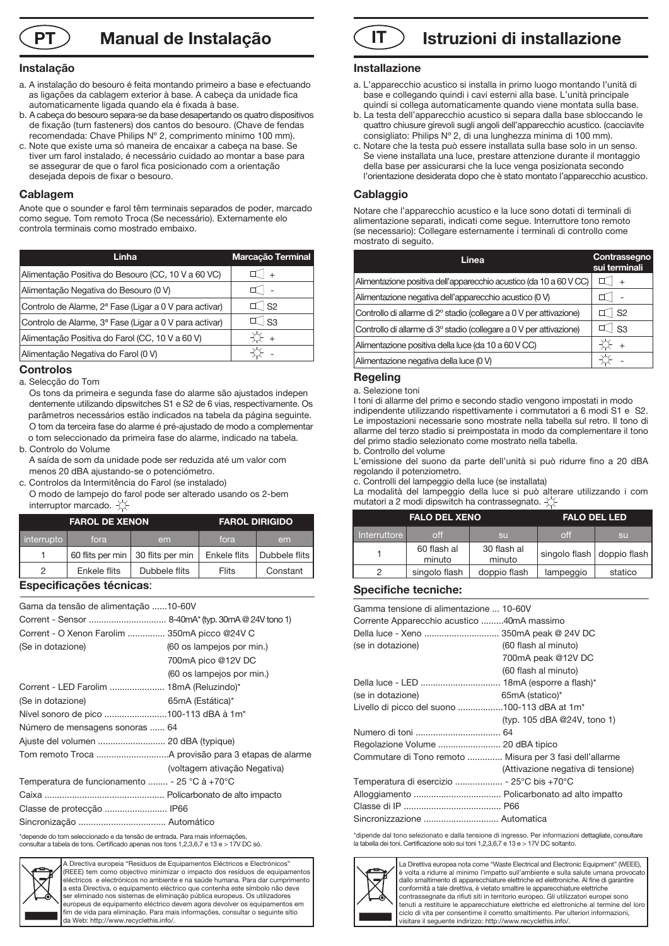**Manual de Instalação**

### **Instalação**

- a. A instalação do besouro é feita montando primeiro a base e efectuando as ligações da cablagem exterior à base. A cabeça da unidade fica automaticamente ligada quando ela é fixada à base.
- b. A cabeça do besouro separa-se da base desapertando os quatro dispositivos de fixação (turn fasteners) dos cantos do besouro. (Chave de fendas recomendada: Chave Philips Nº 2, comprimento mínimo 100 mm).
- c. Note que existe uma só maneira de encaixar a cabeça na base. Se tiver um farol instalado, é necessário cuidado ao montar a base para se assegurar de que o farol fica posicionado com a orientação desejada depois de fixar o besouro.

#### **Cablagem**

Anote que o sounder e farol têm terminais separados de poder, marcado como segue. Tom remoto Troca (Se necessário). Externamente elo controla terminais como mostrado embaixo.

| Linha                                                              | Marcação Terminal   |
|--------------------------------------------------------------------|---------------------|
| Alimentação Positiva do Besouro (CC, 10 V a 60 VC)                 | $+$                 |
| Alimentação Negativa do Besouro (0 V)                              |                     |
| Controlo de Alarme, 2 <sup>ª</sup> Fase (Ligar a 0 V para activar) | $\mathbb{I}$ S2     |
| Controlo de Alarme, 3ª Fase (Ligar a 0 V para activar)             | $\mathbb{I}$ $ $ S3 |
| Alimentação Positiva do Farol (CC, 10 V a 60 V)                    | $+$                 |
| Alimentação Negativa do Farol (0 V)                                |                     |

#### **Controlos**

a. Selecção do Tom

 Os tons da primeira e segunda fase do alarme são ajustados indepen dentemente utilizando dipswitches S1 e S2 de 6 vias, respectivamente. Os parâmetros necessários estão indicados na tabela da página seguinte. O tom da terceira fase do alarme é pré-ajustado de modo a complementar o tom seleccionado da primeira fase do alarme, indicado na tabela.

b. Controlo do Volume

 A saída de som da unidade pode ser reduzida até um valor com menos 20 dBA ajustando-se o potenciómetro.

c. Controlos da Intermitência do Farol (se instalado)

 O modo de lampejo do farol pode ser alterado usando os 2-bem interruptor marcado.  $\chi$ 

| <b>FAROL DE XENON</b> |              | <b>FAROL DIRIGIDO</b>               |              |               |
|-----------------------|--------------|-------------------------------------|--------------|---------------|
| interrupto            | fora         | em                                  | fora         | em            |
|                       |              | 60 flits per min   30 flits per min | Enkele flits | Dubbele flits |
| っ                     | Enkele flits | Dubbele flits                       | Flits        | Constant      |

#### **Especificações técnicas**:

| Gama da tensão de alimentação 10-60V          |                              |
|-----------------------------------------------|------------------------------|
|                                               |                              |
| Corrent - O Xenon Farolim  350mA picco @24V C |                              |
| (Se in dotazione)                             | (60 os lampejos por min.)    |
|                                               | 700mA pico @12V DC           |
|                                               | (60 os lampejos por min.)    |
| Corrent - LED Farolim  18mA (Reluzindo)*      |                              |
| (Se in dotazione)                             | 65mA (Estática)*             |
| Nível sonoro de pico 100-113 dBA à 1m*        |                              |
| Número de mensagens sonoras  64               |                              |
|                                               |                              |
|                                               |                              |
|                                               | (voltagem ativação Negativa) |
| Temperatura de funcionamento  - 25 °C à +70°C |                              |
|                                               |                              |
|                                               |                              |
|                                               |                              |
|                                               |                              |

\*depende do tom seleccionado e da tensão de entrada. Para mais informações, consultar a tabela de tons. Certificado apenas nos tons 1,2,3,6,7 e 13 e > 17V DC só.



Directiva europeia "Resíduos de Equipamentos Eléctricos e Electrónicos" (REEE) tem como objectivo minimizar o impacto dos resíduos de equipamentos eléctricos e electrónicos no ambiente e na saúde humana. Para dar cumprimento a esta Directiva, o equipamento eléctrico que contenha este símbolo não deve ser eliminado nos sistemas de eliminação pública europeus. Os utilizadores europeus de equipamento eléctrico devem agora devolver os equipamentos em fim de vida para eliminação. Para mais informações, consultar o seguinte sítio da Web: http://www.recyclethis.info/.



# **Installazione**

- a. L'apparecchio acustico si installa in primo luogo montando l'unità di base e collegando quindi i cavi esterni alla base. L'unità principale quindi si collega automaticamente quando viene montata sulla base.
- b. La testa dell'apparecchio acustico si separa dalla base sbloccando le quattro chiusure girevoli sugli angoli dell'apparecchio acustico. (cacciavite consigliato: Philips Nº 2, di una lunghezza minima di 100 mm).
- c. Notare che la testa può essere installata sulla base solo in un senso. Se viene installata una luce, prestare attenzione durante il montaggio della base per assicurarsi che la luce venga posizionata secondo l'orientazione desiderata dopo che è stato montato l'apparecchio acustico.

### **Cablaggio**

Notare che l'apparecchio acustico e la luce sono dotati di terminali di alimentazione separati, indicati come segue. Interruttore tono remoto (se necessario): Collegare esternamente i terminali di controllo come mostrato di seguito.

| Linea                                                               | Contrassegno<br>sui terminali |
|---------------------------------------------------------------------|-------------------------------|
| Alimentazione positiva dell'apparecchio acustico (da 10 a 60 V CC)  |                               |
| Alimentazione negativa dell'apparecchio acustico (0 V)              |                               |
| Controllo di allarme di 2º stadio (collegare a 0 V per attivazione) | $\mathsf{S}2$                 |
| Controllo di allarme di 3º stadio (collegare a 0 V per attivazione) | $\vert$ S3                    |
| Alimentazione positiva della luce (da 10 a 60 V CC)                 |                               |
| Alimentazione negativa della luce (0 V)                             |                               |

# **Regeling**

#### a. Selezione toni

I toni di allarme del primo e secondo stadio vengono impostati in modo indipendente utilizzando rispettivamente i commutatori a 6 modi S1 e S2. Le impostazioni necessarie sono mostrate nella tabella sul retro. Il tono di allarme del terzo stadio si preimpostata in modo da complementare il tono del primo stadio selezionato come mostrato nella tabella. b. Controllo del volume

L'emissione del suono da parte dell'unità si può ridurre fino a 20 dBA regolando il potenziometro.

c. Controlli del lampeggio della luce (se installata)

La modalità del lampeggio della luce si può alterare utilizzando i com mutatori a 2 modi dipswitch ha contrassegnato.  $\Diamond$ 

| <b>FALO DEL XENO</b> |                       | <b>FALO DEL LED</b>   |           |                              |
|----------------------|-----------------------|-----------------------|-----------|------------------------------|
| Interruttore         | off                   | <b>SU</b>             | off       | <b>SU</b>                    |
|                      | 60 flash al<br>minuto | 30 flash al<br>minuto |           | singolo flash   doppio flash |
| 2                    | singolo flash         | doppio flash          | lampeggio | statico                      |

#### **Specifiche tecniche:**

| Gamma tensione di alimentazione  10-60V<br>Corrente Apparecchio acustico 40mA massimo<br>Della luce - Xeno  350mA peak @ 24V DC<br>(se in dotazione) | (60 flash al minuto)<br>700mA peak @12V DC<br>(60 flash al minuto) |
|------------------------------------------------------------------------------------------------------------------------------------------------------|--------------------------------------------------------------------|
|                                                                                                                                                      |                                                                    |
| (se in dotazione)                                                                                                                                    | 65mA (statico)*                                                    |
| Livello di picco del suono 100-113 dBA at 1m <sup>*</sup>                                                                                            |                                                                    |
|                                                                                                                                                      | (typ. 105 dBA @24V, tono 1)                                        |
|                                                                                                                                                      |                                                                    |
| Regolazione Volume  20 dBA tipico                                                                                                                    |                                                                    |
| Commutare di Tono remoto  Misura per 3 fasi dell'allarme                                                                                             | (Attivazione negativa di tensione)                                 |
| Temperatura di esercizio  - 25°C bis +70°C                                                                                                           |                                                                    |
|                                                                                                                                                      |                                                                    |
|                                                                                                                                                      |                                                                    |

\*dipende dal tono selezionato e dalla tensione di ingresso. Per informazioni dettagliate, consultare la tabella dei toni. Certificazione solo sui toni 1,2,3,6,7 e 13 e > 17V DC soltanto.



La Direttiva europea nota come "Waste Electrical and Electronic Equipment" (WEEE), è volta a ridurre al minimo l'impatto sull'ambiente e sulla salute umana provocato dallo smaltimento di apparecchiature elettriche ed elettroniche. Al fine di garantire conformità a tale direttiva, è vietato smaltire le apparecchiature elettriche contrassegnate da rifiuti siti in territorio europeo. Gli utilizzatori europei sono tenuti a restituire le apparecchiature elettriche ed elettroniche al termine del lor ciclo di vita per consentirne il corretto smaltimento. Per ulteriori informazioni, visitare il seguente indirizzo: http://www.recyclethis.info/.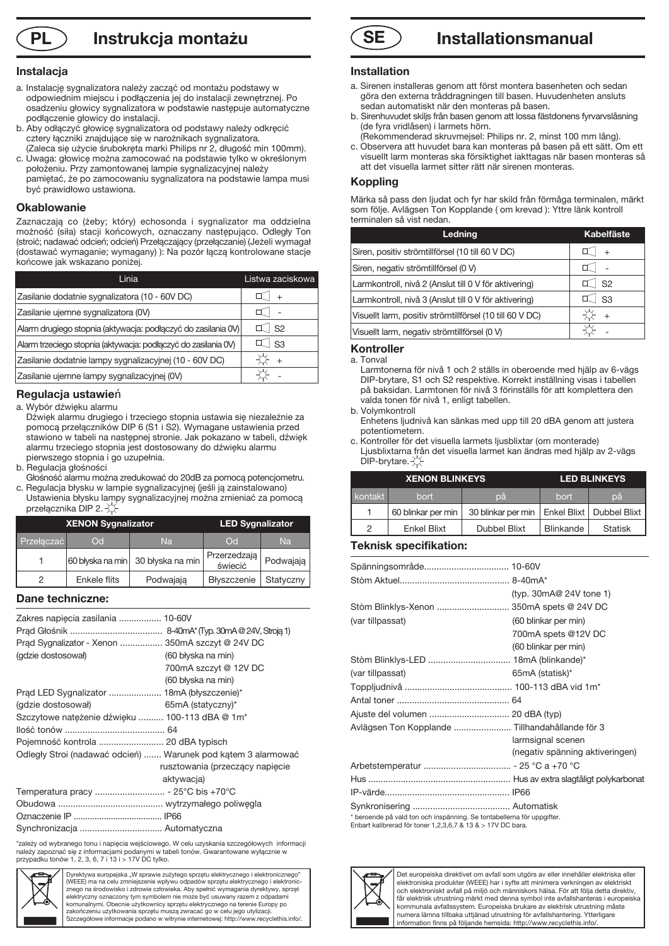# **PL Instrukcja montażu SE**

### **Instalacja**

- a. Instalację sygnalizatora należy zacząć od montażu podstawy w odpowiednim miejscu i podłączenia jej do instalacji zewnętrznej. Po osadzeniu głowicy sygnalizatora w podstawie następuje automatyczne podłączenie głowicy do instalacji.
- b. Aby odłączyć głowicę sygnalizatora od podstawy należy odkręcić cztery łączniki znajdujące się w narożnikach sygnalizatora. (Zaleca się użycie śrubokręta marki Philips nr 2, długość min 100mm).
- c. Uwaga: głowicę można zamocować na podstawie tylko w określonym położeniu. Przy zamontowanej lampie sygnalizacyjnej należy pamiętać, że po zamocowaniu sygnalizatora na podstawie lampa musi być prawidłowo ustawiona.

### **Okablowanie**

Zaznaczają co (żeby; który) echosonda i sygnalizator ma oddzielna możność (siła) stacji końcowych, oznaczany następująco. Odległy Ton (stroić; nadawać odcień; odcień) Przełączający (przełączanie) (Jeżeli wymagał (dostawać wymaganie; wymagany) ): Na pozór łączą kontrolowane stacje końcowe jak wskazano poniżej.

| Linia                                                          | Listwa zaciskowa |
|----------------------------------------------------------------|------------------|
| Zasilanie dodatnie sygnalizatora (10 - 60V DC)                 |                  |
| Zasilanie ujemne sygnalizatora (0V)                            |                  |
| Alarm drugiego stopnia (aktywacja: podłączyć do zasilania 0V)  | S <sub>2</sub>   |
| Alarm trzeciego stopnia (aktywacja: podłączyć do zasilania 0V) | - S <sub>3</sub> |
| Zasilanie dodatnie lampy sygnalizacyjnej (10 - 60V DC)         |                  |
| Zasilanie ujemne lampy sygnalizacyjnej (0V)                    |                  |

# **Regulacja ustawie**ń

a. Wybór dźwięku alarmu

- Dźwięk alarmu drugiego i trzeciego stopnia ustawia się niezależnie za pomocą przełączników DIP 6 (S1 i S2). Wymagane ustawienia przed stawiono w tabeli na następnej stronie. Jak pokazano w tabeli, dźwięk alarmu trzeciego stopnia jest dostosowany do dźwięku alarmu pierwszego stopnia i go uzupełnia.
- b. Regulacja głośności
- Głośność alarmu można zredukować do 20dB za pomocą potencjometru. c. Regulacja błysku w lampie sygnalizacyjnej (jeśli ją zainstalowano)
- Ustawienia błysku lampy sygnalizacyjnej można zmieniać za pomocą przełącznika DIP 2. XX

| <b>XENON Sygnalizator</b> |              | <b>LED Sygnalizator</b>           |                         |           |
|---------------------------|--------------|-----------------------------------|-------------------------|-----------|
| Przełaczać                | <b>Odl</b>   | Na                                | $\overline{C}$          | Na        |
|                           |              | 60 blyska na min 30 blyska na min | Przerzedzają<br>świecić | Podwajają |
| っ                         | Enkele flits | Podwajają                         | Błyszczenie             | Statyczny |

# **Dane techniczne:**

| Zakres napiecia zasilania  10-60V<br>Prad Sygnalizator - Xenon  350mA szczyt @ 24V DC<br>(gdzie dostosował) | (60 błyska na min)              |
|-------------------------------------------------------------------------------------------------------------|---------------------------------|
|                                                                                                             | 700mA szczyt @ 12V DC           |
|                                                                                                             | (60 błyska na min)              |
| Prąd LED Sygnalizator  18mA (błyszczenie)*                                                                  |                                 |
| (gdzie dostosował)                                                                                          | $65mA$ (statyczny)*             |
| Szczytowe natężenie dźwięku  100-113 dBA @ 1m*                                                              |                                 |
|                                                                                                             |                                 |
| Pojemność kontrola  20 dBA typisch                                                                          |                                 |
| Odległy Stroi (nadawać odcień)  Warunek pod kątem 3 alarmować                                               |                                 |
|                                                                                                             | rusztowania (przeczący napięcie |
|                                                                                                             | aktywacja)                      |
|                                                                                                             |                                 |
|                                                                                                             |                                 |
|                                                                                                             |                                 |
| Synchronizacja  Automatyczna                                                                                |                                 |

\*zależy od wybranego tonu i napięcia wejściowego. W celu uzyskania szczegółowych informacji<br>należy zapoznać się z informacjami podanymi w tabeli tonów. Gwarantowane wyłącznie w<br>przypadku tonów 1, 2, 3, 6, 7 i 13 i > 17V D



Dyrektywa europejska "W sprawie zużytego sprzętu elektrycznego i elektronicznego (WEEE) ma na celu zmniejszenie wpływu odpadów sprzętu elektrycznego i elektronic-znego na środowisko i zdrowie człowieka. Aby spełnić wymagania dyrektywy, sprzęt elektryczny oznaczony tym symbolem nie może być usuwany razem z odpad komunalnymi. Obecnie użytkownicy sprzętu elektrycznego na terenie Europy po zakończeniu użytkowania sprzętu muszą zwracać go w celu jego utylizacji. Szczegółowe informacje podano w witrynie internetowej: http://www.recyclethis.info/.



### **Installation**

- a. Sirenen installeras genom att först montera basenheten och sedan göra den externa tråddragningen till basen. Huvudenheten ansluts sedan automatiskt när den monteras på basen.
- b. Sirenhuvudet skiljs från basen genom att lossa fästdonens fyrvarvslåsning (de fyra vridlåsen) i larmets hörn.
- (Rekommenderad skruvmejsel: Philips nr. 2, minst 100 mm lång).
- c. Observera att huvudet bara kan monteras på basen på ett sätt. Om ett visuellt larm monteras ska försiktighet iakttagas när basen monteras så att det visuella larmet sitter rätt när sirenen monteras.

#### **Koppling**

Märka så pass den ljudat och fyr har skild från förmåga terminalen, märkt som följe. Avlägsen Ton Kopplande ( om krevad ): Yttre länk kontroll terminalen så vist nedan.

| Ledning                                                  | <b>Kabelfäste</b> |
|----------------------------------------------------------|-------------------|
| Siren, positiv strömtillförsel (10 till 60 V DC)         |                   |
| Siren, negativ strömtillförsel (0 V)                     |                   |
| Larmkontroll, nivå 2 (Anslut till 0 V för aktivering)    | S <sub>2</sub>    |
| Larmkontroll, nivå 3 (Anslut till 0 V för aktivering)    | S3                |
| Visuellt larm, positiv strömtillförsel (10 till 60 V DC) |                   |
| Visuellt larm, negativ strömtillförsel (0 V)             |                   |

# **Kontroller**

a. Tonval

 Larmtonerna för nivå 1 och 2 ställs in oberoende med hjälp av 6-vägs DIP-brytare, S1 och S2 respektive. Korrekt inställning visas i tabellen på baksidan. Larmtonen för nivå 3 förinställs för att komplettera den valda tonen för nivå 1, enligt tabellen.

- b. Volymkontroll Enhetens ljudnivå kan sänkas med upp till 20 dBA genom att justera potentiometern.
- c. Kontroller för det visuella larmets ljusblixtar (om monterade) Ljusblixtarna från det visuella larmet kan ändras med hjälp av 2-vägs  $DIP-$ brytare. $\chi$

| <b>XENON BLINKEYS</b> |                    |                                                 | <b>LED BLINKEYS</b> |                |
|-----------------------|--------------------|-------------------------------------------------|---------------------|----------------|
| kontakt               | bort               | рă                                              | bort                | pă             |
|                       | 60 blinkar per min | 30 blinkar per min   Enkel Blixt   Dubbel Blixt |                     |                |
| 2                     | <b>Enkel Blixt</b> | <b>Dubbel Blixt</b>                             | Blinkande           | <b>Statisk</b> |

### **Teknisk specifikation:**

|                                                                        | (typ. $30 \text{mA} @ 24 \text{V}$ tone 1) |
|------------------------------------------------------------------------|--------------------------------------------|
| Stòm Blinklys-Xenon  350mA spets @ 24V DC                              |                                            |
| (var tillpassat)                                                       | (60 blinkar per min)                       |
|                                                                        | 700mA spets @12V DC                        |
|                                                                        | (60 blinkar per min)                       |
|                                                                        |                                            |
| (var tillpassat)                                                       | 65mA (statisk)*                            |
|                                                                        |                                            |
|                                                                        |                                            |
|                                                                        |                                            |
| Avlägsen Ton Kopplande  Tillhandahållande för 3                        |                                            |
|                                                                        | larmsignal scenen                          |
|                                                                        | (negativ spänning aktiveringen)            |
|                                                                        |                                            |
|                                                                        |                                            |
|                                                                        |                                            |
|                                                                        |                                            |
| * beroende på vald ton och inspänning. Se tontabellerna för uppgifter. |                                            |

\* beroende på vald ton och inspänning. Se tontabellerna för uppgifter. Enbart kalibrerad för toner 1,2,3,6,7 & 13 & > 17V DC bara.



Det europeiska direktivet om avfall som utgörs av eller innehåller elektriska eller elektroniska produkter (WEEE) har i syfte att minimera verkningen av elektriskt och elektroniskt avfall på miljö och människors hälsa. För att följa detta direktiv, får elektrisk utrustning märkt med denna symbol inte avfallshanteras i europe kommunala avfallssystem. Europeiska brukare av elektrisk utrustning måste numera lämna tillbaka uttjänad utrustning för avfallshantering. Ytterligare information finns på följande hemsida: http://www.recyclethis.info/.